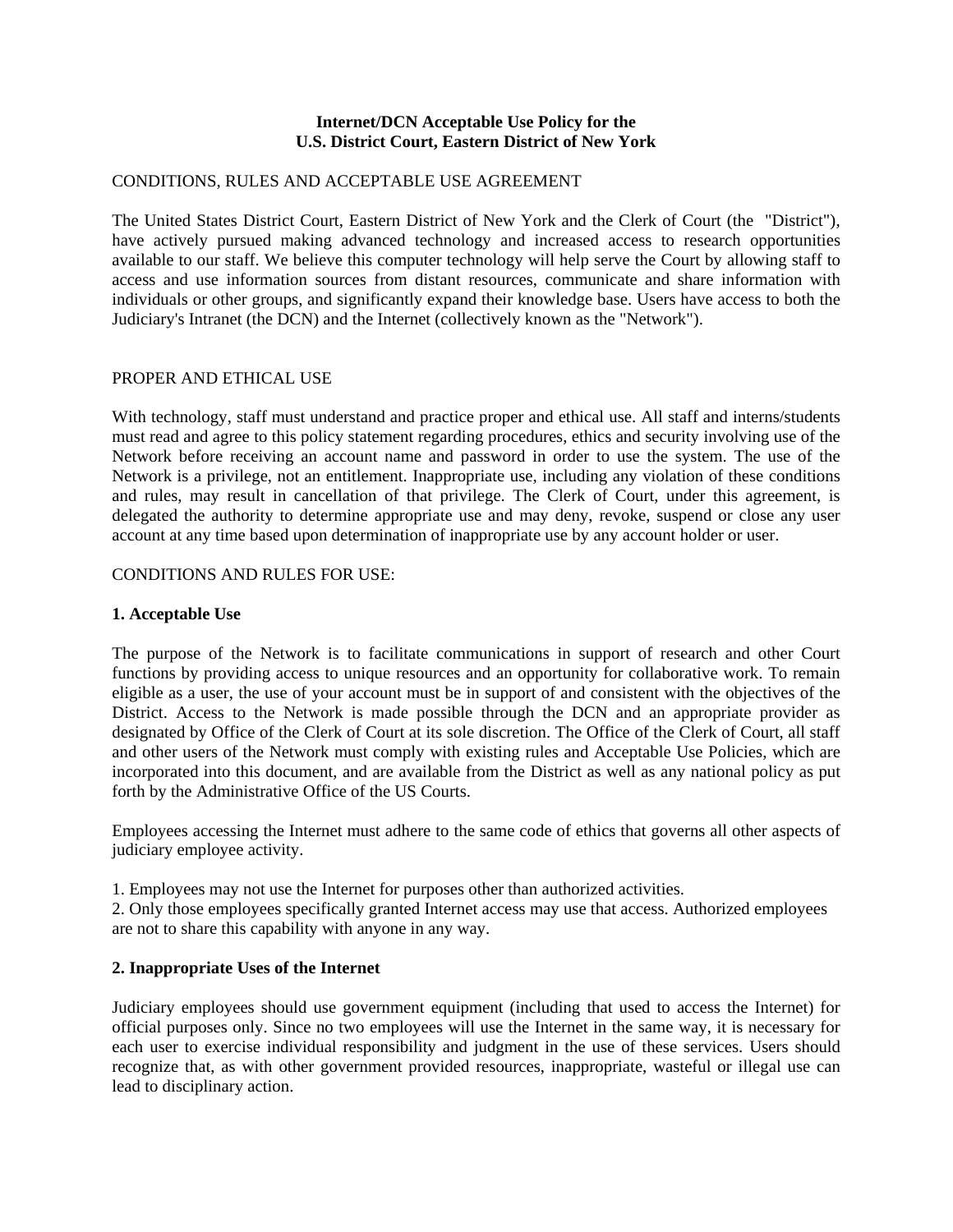### **Internet/DCN Acceptable Use Policy for the U.S. District Court, Eastern District of New York**

## CONDITIONS, RULES AND ACCEPTABLE USE AGREEMENT

The United States District Court, Eastern District of New York and the Clerk of Court (the "District"), have actively pursued making advanced technology and increased access to research opportunities available to our staff. We believe this computer technology will help serve the Court by allowing staff to access and use information sources from distant resources, communicate and share information with individuals or other groups, and significantly expand their knowledge base. Users have access to both the Judiciary's Intranet (the DCN) and the Internet (collectively known as the "Network").

### PROPER AND ETHICAL USE

With technology, staff must understand and practice proper and ethical use. All staff and interns/students must read and agree to this policy statement regarding procedures, ethics and security involving use of the Network before receiving an account name and password in order to use the system. The use of the Network is a privilege, not an entitlement. Inappropriate use, including any violation of these conditions and rules, may result in cancellation of that privilege. The Clerk of Court, under this agreement, is delegated the authority to determine appropriate use and may deny, revoke, suspend or close any user account at any time based upon determination of inappropriate use by any account holder or user.

### CONDITIONS AND RULES FOR USE:

### **1. Acceptable Use**

The purpose of the Network is to facilitate communications in support of research and other Court functions by providing access to unique resources and an opportunity for collaborative work. To remain eligible as a user, the use of your account must be in support of and consistent with the objectives of the District. Access to the Network is made possible through the DCN and an appropriate provider as designated by Office of the Clerk of Court at its sole discretion. The Office of the Clerk of Court, all staff and other users of the Network must comply with existing rules and Acceptable Use Policies, which are incorporated into this document, and are available from the District as well as any national policy as put forth by the Administrative Office of the US Courts.

Employees accessing the Internet must adhere to the same code of ethics that governs all other aspects of judiciary employee activity.

1. Employees may not use the Internet for purposes other than authorized activities.

2. Only those employees specifically granted Internet access may use that access. Authorized employees are not to share this capability with anyone in any way.

## **2. Inappropriate Uses of the Internet**

Judiciary employees should use government equipment (including that used to access the Internet) for official purposes only. Since no two employees will use the Internet in the same way, it is necessary for each user to exercise individual responsibility and judgment in the use of these services. Users should recognize that, as with other government provided resources, inappropriate, wasteful or illegal use can lead to disciplinary action.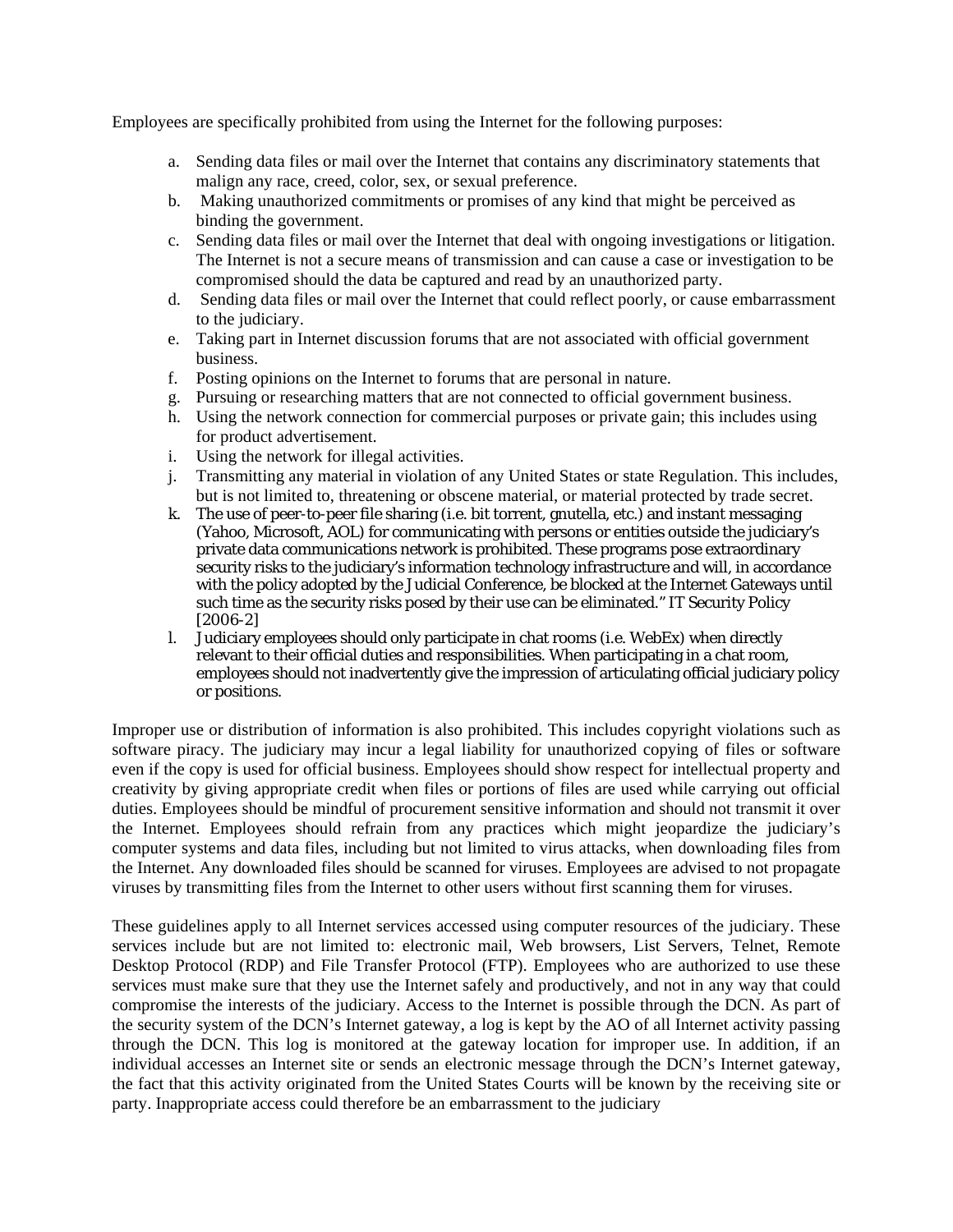Employees are specifically prohibited from using the Internet for the following purposes:

- a. Sending data files or mail over the Internet that contains any discriminatory statements that malign any race, creed, color, sex, or sexual preference.
- b. Making unauthorized commitments or promises of any kind that might be perceived as binding the government.
- c. Sending data files or mail over the Internet that deal with ongoing investigations or litigation. The Internet is not a secure means of transmission and can cause a case or investigation to be compromised should the data be captured and read by an unauthorized party.
- d. Sending data files or mail over the Internet that could reflect poorly, or cause embarrassment to the judiciary.
- e. Taking part in Internet discussion forums that are not associated with official government business.
- f. Posting opinions on the Internet to forums that are personal in nature.
- g. Pursuing or researching matters that are not connected to official government business.
- h. Using the network connection for commercial purposes or private gain; this includes using for product advertisement.
- i. Using the network for illegal activities.
- j. Transmitting any material in violation of any United States or state Regulation. This includes, but is not limited to, threatening or obscene material, or material protected by trade secret.
- k. The use of peer-to-peer file sharing (i.e. bit torrent, gnutella, etc.) and instant messaging (Yahoo, Microsoft, AOL) for communicating with persons or entities outside the judiciary's private data communications network is prohibited. These programs pose extraordinary security risks to the judiciary's information technology infrastructure and will, in accordance with the policy adopted by the Judicial Conference, be blocked at the Internet Gateways until such time as the security risks posed by their use can be eliminated." IT Security Policy [2006-2]
- l. Judiciary employees should only participate in chat rooms (i.e. WebEx) when directly relevant to their official duties and responsibilities. When participating in a chat room, employees should not inadvertently give the impression of articulating official judiciary policy or positions.

Improper use or distribution of information is also prohibited. This includes copyright violations such as software piracy. The judiciary may incur a legal liability for unauthorized copying of files or software even if the copy is used for official business. Employees should show respect for intellectual property and creativity by giving appropriate credit when files or portions of files are used while carrying out official duties. Employees should be mindful of procurement sensitive information and should not transmit it over the Internet. Employees should refrain from any practices which might jeopardize the judiciary's computer systems and data files, including but not limited to virus attacks, when downloading files from the Internet. Any downloaded files should be scanned for viruses. Employees are advised to not propagate viruses by transmitting files from the Internet to other users without first scanning them for viruses.

These guidelines apply to all Internet services accessed using computer resources of the judiciary. These services include but are not limited to: electronic mail, Web browsers, List Servers, Telnet, Remote Desktop Protocol (RDP) and File Transfer Protocol (FTP). Employees who are authorized to use these services must make sure that they use the Internet safely and productively, and not in any way that could compromise the interests of the judiciary. Access to the Internet is possible through the DCN. As part of the security system of the DCN's Internet gateway, a log is kept by the AO of all Internet activity passing through the DCN. This log is monitored at the gateway location for improper use. In addition, if an individual accesses an Internet site or sends an electronic message through the DCN's Internet gateway, the fact that this activity originated from the United States Courts will be known by the receiving site or party. Inappropriate access could therefore be an embarrassment to the judiciary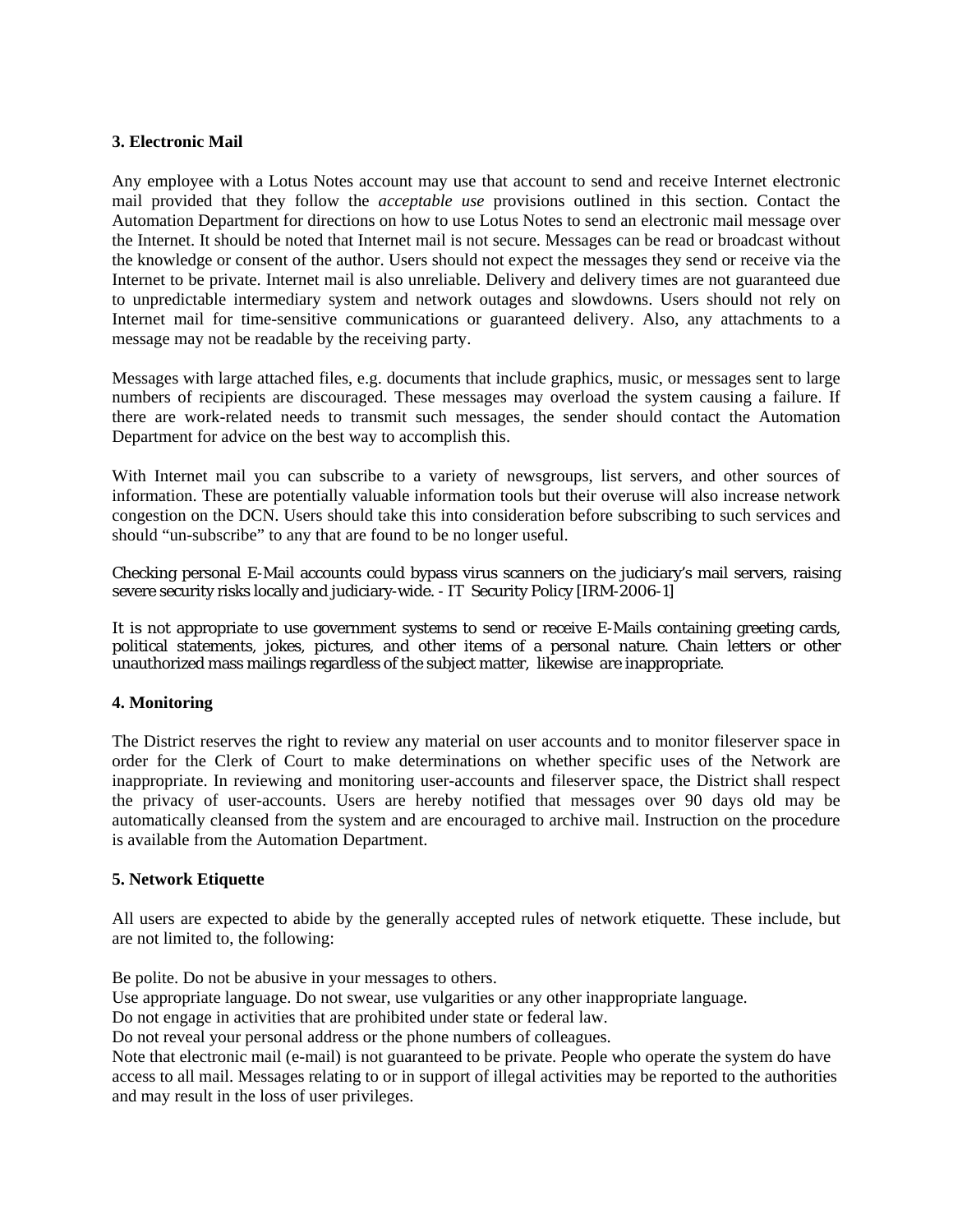# **3. Electronic Mail**

Any employee with a Lotus Notes account may use that account to send and receive Internet electronic mail provided that they follow the *acceptable use* provisions outlined in this section. Contact the Automation Department for directions on how to use Lotus Notes to send an electronic mail message over the Internet. It should be noted that Internet mail is not secure. Messages can be read or broadcast without the knowledge or consent of the author. Users should not expect the messages they send or receive via the Internet to be private. Internet mail is also unreliable. Delivery and delivery times are not guaranteed due to unpredictable intermediary system and network outages and slowdowns. Users should not rely on Internet mail for time-sensitive communications or guaranteed delivery. Also, any attachments to a message may not be readable by the receiving party.

Messages with large attached files, e.g. documents that include graphics, music, or messages sent to large numbers of recipients are discouraged. These messages may overload the system causing a failure. If there are work-related needs to transmit such messages, the sender should contact the Automation Department for advice on the best way to accomplish this.

With Internet mail you can subscribe to a variety of newsgroups, list servers, and other sources of information. These are potentially valuable information tools but their overuse will also increase network congestion on the DCN. Users should take this into consideration before subscribing to such services and should "un-subscribe" to any that are found to be no longer useful.

Checking personal E-Mail accounts could bypass virus scanners on the judiciary's mail servers, raising severe security risks locally and judiciary-wide. - IT Security Policy [IRM-2006-1]

It is not appropriate to use government systems to send or receive E-Mails containing greeting cards, political statements, jokes, pictures, and other items of a personal nature. Chain letters or other unauthorized mass mailings regardless of the subject matter, likewise are inappropriate.

## **4. Monitoring**

The District reserves the right to review any material on user accounts and to monitor fileserver space in order for the Clerk of Court to make determinations on whether specific uses of the Network are inappropriate. In reviewing and monitoring user-accounts and fileserver space, the District shall respect the privacy of user-accounts. Users are hereby notified that messages over 90 days old may be automatically cleansed from the system and are encouraged to archive mail. Instruction on the procedure is available from the Automation Department.

## **5. Network Etiquette**

All users are expected to abide by the generally accepted rules of network etiquette. These include, but are not limited to, the following:

Be polite. Do not be abusive in your messages to others.

Use appropriate language. Do not swear, use vulgarities or any other inappropriate language.

Do not engage in activities that are prohibited under state or federal law.

Do not reveal your personal address or the phone numbers of colleagues.

Note that electronic mail (e-mail) is not guaranteed to be private. People who operate the system do have access to all mail. Messages relating to or in support of illegal activities may be reported to the authorities and may result in the loss of user privileges.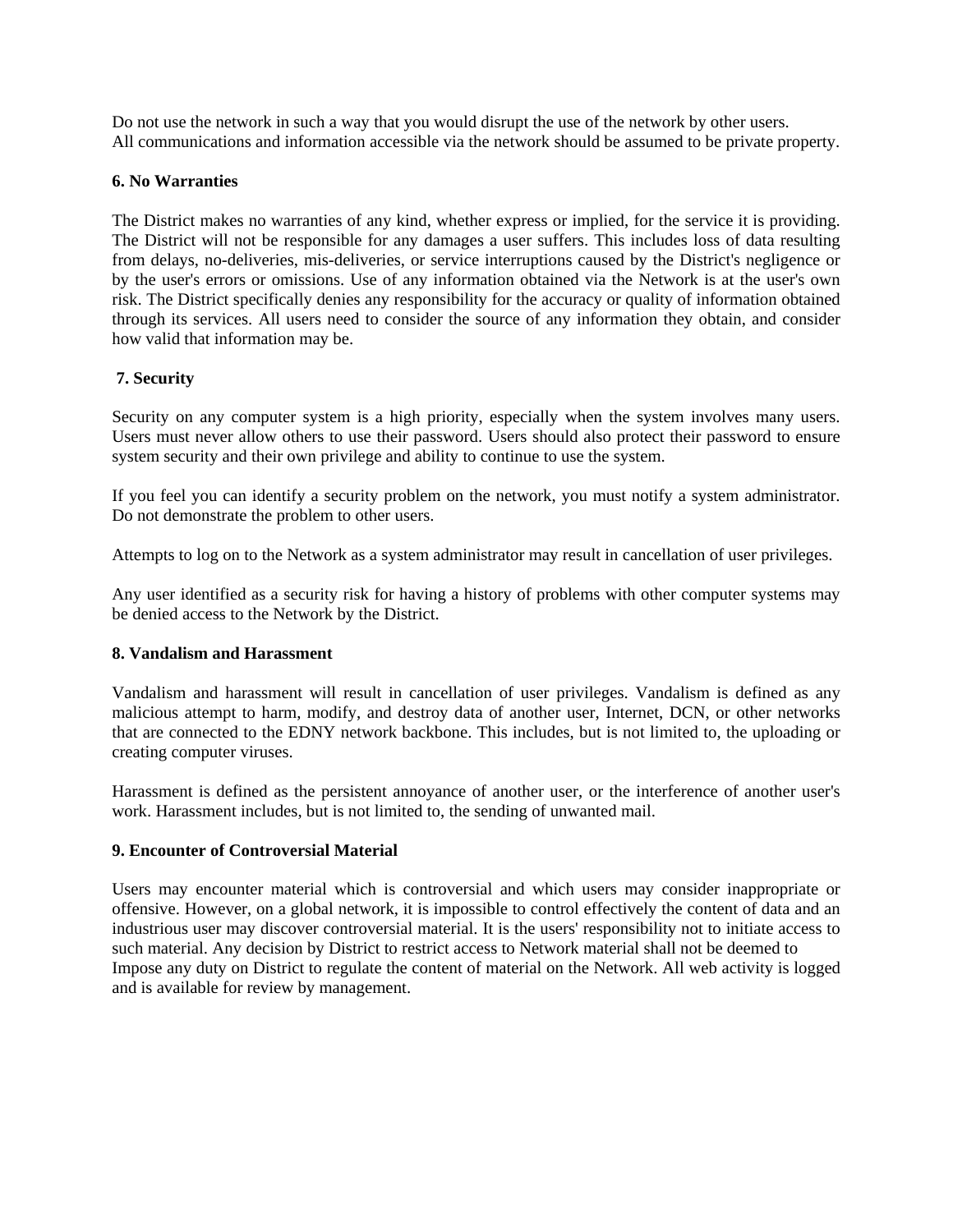Do not use the network in such a way that you would disrupt the use of the network by other users. All communications and information accessible via the network should be assumed to be private property.

## **6. No Warranties**

The District makes no warranties of any kind, whether express or implied, for the service it is providing. The District will not be responsible for any damages a user suffers. This includes loss of data resulting from delays, no-deliveries, mis-deliveries, or service interruptions caused by the District's negligence or by the user's errors or omissions. Use of any information obtained via the Network is at the user's own risk. The District specifically denies any responsibility for the accuracy or quality of information obtained through its services. All users need to consider the source of any information they obtain, and consider how valid that information may be.

### **7. Security**

Security on any computer system is a high priority, especially when the system involves many users. Users must never allow others to use their password. Users should also protect their password to ensure system security and their own privilege and ability to continue to use the system.

If you feel you can identify a security problem on the network, you must notify a system administrator. Do not demonstrate the problem to other users.

Attempts to log on to the Network as a system administrator may result in cancellation of user privileges.

Any user identified as a security risk for having a history of problems with other computer systems may be denied access to the Network by the District.

### **8. Vandalism and Harassment**

Vandalism and harassment will result in cancellation of user privileges. Vandalism is defined as any malicious attempt to harm, modify, and destroy data of another user, Internet, DCN, or other networks that are connected to the EDNY network backbone. This includes, but is not limited to, the uploading or creating computer viruses.

Harassment is defined as the persistent annoyance of another user, or the interference of another user's work. Harassment includes, but is not limited to, the sending of unwanted mail.

## **9. Encounter of Controversial Material**

Users may encounter material which is controversial and which users may consider inappropriate or offensive. However, on a global network, it is impossible to control effectively the content of data and an industrious user may discover controversial material. It is the users' responsibility not to initiate access to such material. Any decision by District to restrict access to Network material shall not be deemed to Impose any duty on District to regulate the content of material on the Network. All web activity is logged and is available for review by management.